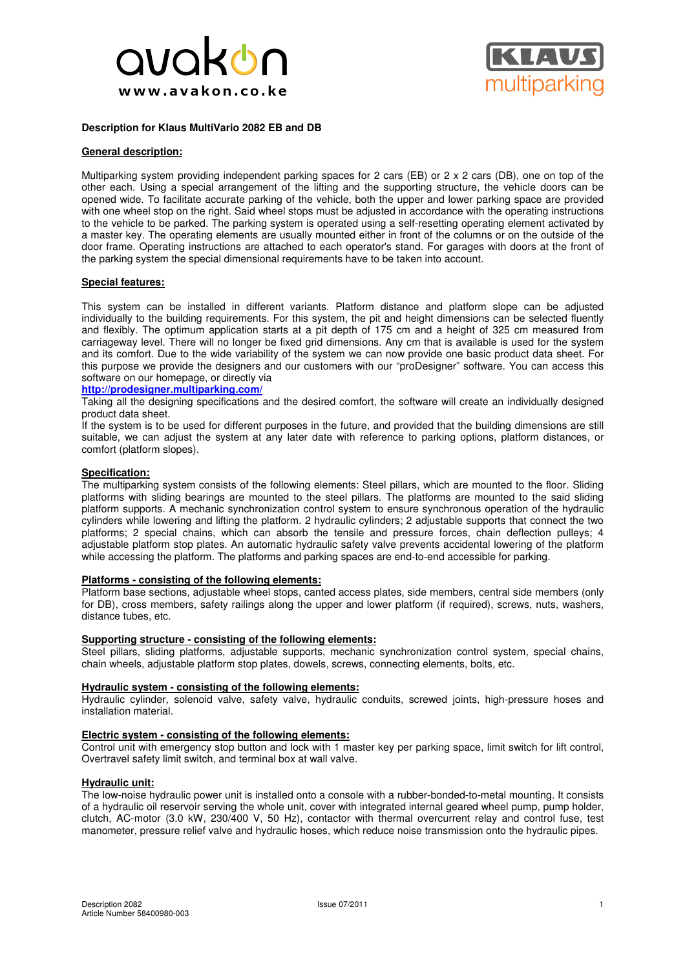



# **Description for Klaus MultiVario 2082 EB and DB**

### **General description:**

Multiparking system providing independent parking spaces for 2 cars (EB) or 2 x 2 cars (DB), one on top of the other each. Using a special arrangement of the lifting and the supporting structure, the vehicle doors can be opened wide. To facilitate accurate parking of the vehicle, both the upper and lower parking space are provided with one wheel stop on the right. Said wheel stops must be adjusted in accordance with the operating instructions to the vehicle to be parked. The parking system is operated using a self-resetting operating element activated by a master key. The operating elements are usually mounted either in front of the columns or on the outside of the door frame. Operating instructions are attached to each operator's stand. For garages with doors at the front of the parking system the special dimensional requirements have to be taken into account.

# **Special features:**

This system can be installed in different variants. Platform distance and platform slope can be adjusted individually to the building requirements. For this system, the pit and height dimensions can be selected fluently and flexibly. The optimum application starts at a pit depth of 175 cm and a height of 325 cm measured from carriageway level. There will no longer be fixed grid dimensions. Any cm that is available is used for the system and its comfort. Due to the wide variability of the system we can now provide one basic product data sheet. For this purpose we provide the designers and our customers with our "proDesigner" software. You can access this software on our homepage, or directly via

### **http://prodesigner.multiparking.com/**

Taking all the designing specifications and the desired comfort, the software will create an individually designed product data sheet.

If the system is to be used for different purposes in the future, and provided that the building dimensions are still suitable, we can adjust the system at any later date with reference to parking options, platform distances, or comfort (platform slopes).

# **Specification:**

The multiparking system consists of the following elements: Steel pillars, which are mounted to the floor. Sliding platforms with sliding bearings are mounted to the steel pillars. The platforms are mounted to the said sliding platform supports. A mechanic synchronization control system to ensure synchronous operation of the hydraulic cylinders while lowering and lifting the platform. 2 hydraulic cylinders; 2 adjustable supports that connect the two platforms; 2 special chains, which can absorb the tensile and pressure forces, chain deflection pulleys; 4 adjustable platform stop plates. An automatic hydraulic safety valve prevents accidental lowering of the platform while accessing the platform. The platforms and parking spaces are end-to-end accessible for parking.

#### **Platforms - consisting of the following elements:**

Platform base sections, adjustable wheel stops, canted access plates, side members, central side members (only for DB), cross members, safety railings along the upper and lower platform (if required), screws, nuts, washers, distance tubes, etc.

#### **Supporting structure - consisting of the following elements:**

Steel pillars, sliding platforms, adjustable supports, mechanic synchronization control system, special chains, chain wheels, adjustable platform stop plates, dowels, screws, connecting elements, bolts, etc.

#### **Hydraulic system - consisting of the following elements:**

Hydraulic cylinder, solenoid valve, safety valve, hydraulic conduits, screwed joints, high-pressure hoses and installation material.

### **Electric system - consisting of the following elements:**

Control unit with emergency stop button and lock with 1 master key per parking space, limit switch for lift control, Overtravel safety limit switch, and terminal box at wall valve.

# **Hydraulic unit:**

The low-noise hydraulic power unit is installed onto a console with a rubber-bonded-to-metal mounting. It consists of a hydraulic oil reservoir serving the whole unit, cover with integrated internal geared wheel pump, pump holder, clutch, AC-motor (3.0 kW, 230/400 V, 50 Hz), contactor with thermal overcurrent relay and control fuse, test manometer, pressure relief valve and hydraulic hoses, which reduce noise transmission onto the hydraulic pipes.